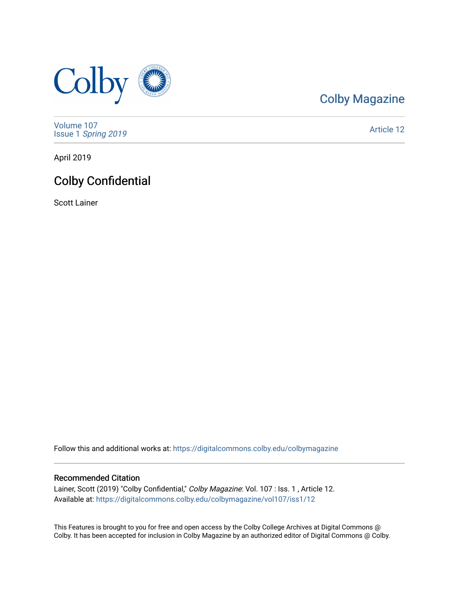

## [Colby Magazine](https://digitalcommons.colby.edu/colbymagazine)

[Volume 107](https://digitalcommons.colby.edu/colbymagazine/vol107) Issue 1 [Spring 2019](https://digitalcommons.colby.edu/colbymagazine/vol107/iss1) 

[Article 12](https://digitalcommons.colby.edu/colbymagazine/vol107/iss1/12) 

April 2019

## Colby Confidential

Scott Lainer

Follow this and additional works at: [https://digitalcommons.colby.edu/colbymagazine](https://digitalcommons.colby.edu/colbymagazine?utm_source=digitalcommons.colby.edu%2Fcolbymagazine%2Fvol107%2Fiss1%2F12&utm_medium=PDF&utm_campaign=PDFCoverPages)

#### Recommended Citation

Lainer, Scott (2019) "Colby Confidential," Colby Magazine: Vol. 107 : Iss. 1, Article 12. Available at: [https://digitalcommons.colby.edu/colbymagazine/vol107/iss1/12](https://digitalcommons.colby.edu/colbymagazine/vol107/iss1/12?utm_source=digitalcommons.colby.edu%2Fcolbymagazine%2Fvol107%2Fiss1%2F12&utm_medium=PDF&utm_campaign=PDFCoverPages)

This Features is brought to you for free and open access by the Colby College Archives at Digital Commons @ Colby. It has been accepted for inclusion in Colby Magazine by an authorized editor of Digital Commons @ Colby.